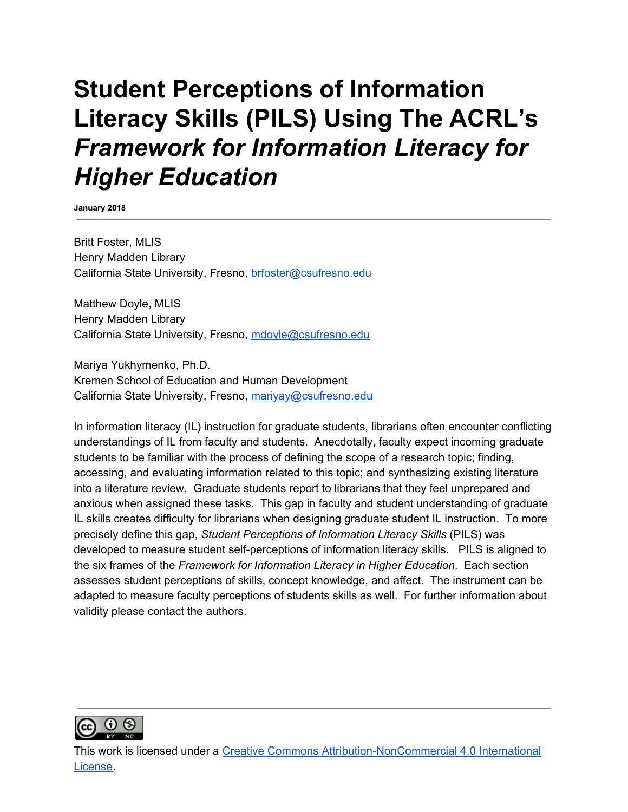# **Student Perceptions of Information Literacy Skills (PILS) Using The ACRL's** *Framework for Information Literacy for Higher Education*

**January 2018**

Britt Foster, MLIS Henry Madden Library California State University, Fresno, [brfoster@csufresno.edu](mailto:brfoster@csufresno.edu)

Matthew Doyle, MLIS Henry Madden Library California State University, Fresno, [mdoyle@csufresno.edu](mailto:mdoyle@csufresno.edu)

Mariya Yukhymenko, Ph.D. Kremen School of Education and Human Development California State University, Fresno, [mariyay@csufresno.edu](mailto:mariyay@csufresno.edu)

In information literacy (IL) instruction for graduate students, librarians often encounter conflicting understandings of IL from faculty and students. Anecdotally, faculty expect incoming graduate students to be familiar with the process of defining the scope of a research topic; finding, accessing, and evaluating information related to this topic; and synthesizing existing literature into a literature review. Graduate students report to librarians that they feel unprepared and anxious when assigned these tasks. This gap in faculty and student understanding of graduate IL skills creates difficulty for librarians when designing graduate student IL instruction. To more precisely define this gap, *Student Perceptions of Information Literacy Skills* (PILS) was developed to measure student self-perceptions of information literacy skills. PILS is aligned to the six frames of the *Framework for Information Literacy in Higher Education*. Each section assesses student perceptions of skills, concept knowledge, and affect. The instrument can be adapted to measure faculty perceptions of students skills as well. For further information about validity please contact the authors.



This work is licensed under a Creative Commons [Attribution-NonCommercial](http://creativecommons.org/licenses/by-nc/4.0/) 4.0 International [License.](http://creativecommons.org/licenses/by-nc/4.0/)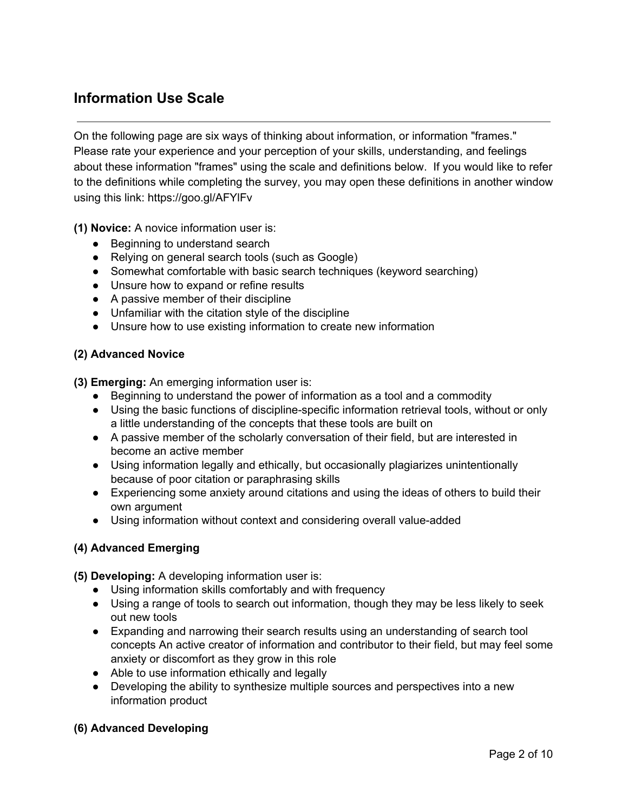# **Information Use Scale**

On the following page are six ways of thinking about information, or information "frames." Please rate your experience and your perception of your skills, understanding, and feelings about these information "frames" using the scale and definitions below. If you would like to refer to the definitions while completing the survey, you may open these definitions in another window using this link: https://goo.gl/AFYlFv

**(1) Novice:** A novice information user is:

- Beginning to understand search
- Relying on general search tools (such as Google)
- Somewhat comfortable with basic search techniques (keyword searching)
- Unsure how to expand or refine results
- A passive member of their discipline
- Unfamiliar with the citation style of the discipline
- Unsure how to use existing information to create new information

#### **(2) Advanced Novice**

**(3) Emerging:** An emerging information user is:

- Beginning to understand the power of information as a tool and a commodity
- Using the basic functions of discipline-specific information retrieval tools, without or only a little understanding of the concepts that these tools are built on
- A passive member of the scholarly conversation of their field, but are interested in become an active member
- Using information legally and ethically, but occasionally plagiarizes unintentionally because of poor citation or paraphrasing skills
- Experiencing some anxiety around citations and using the ideas of others to build their own argument
- Using information without context and considering overall value-added

#### **(4) Advanced Emerging**

**(5) Developing:** A developing information user is:

- Using information skills comfortably and with frequency
- Using a range of tools to search out information, though they may be less likely to seek out new tools
- Expanding and narrowing their search results using an understanding of search tool concepts An active creator of information and contributor to their field, but may feel some anxiety or discomfort as they grow in this role
- Able to use information ethically and legally
- Developing the ability to synthesize multiple sources and perspectives into a new information product

#### **(6) Advanced Developing**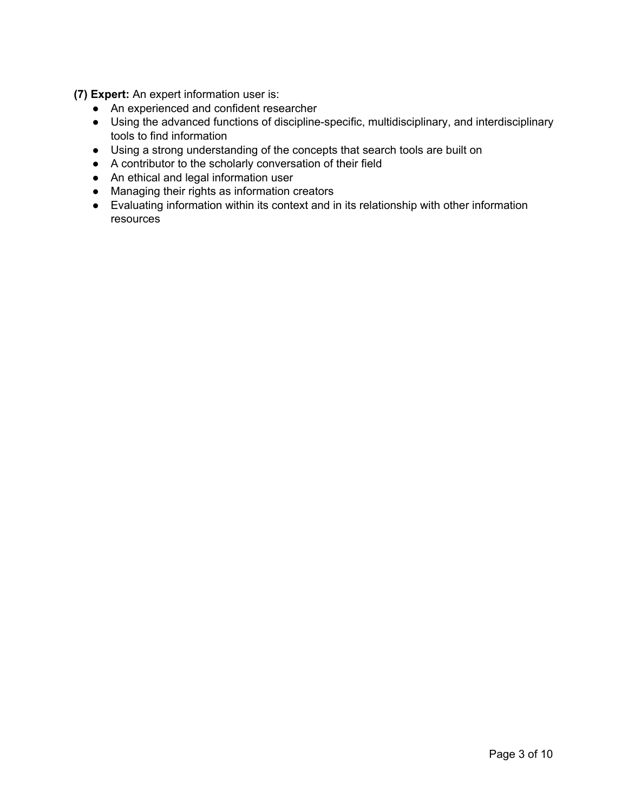**(7) Expert:** An expert information user is:

- An experienced and confident researcher
- Using the advanced functions of discipline-specific, multidisciplinary, and interdisciplinary tools to find information
- Using a strong understanding of the concepts that search tools are built on
- A contributor to the scholarly conversation of their field
- An ethical and legal information user
- Managing their rights as information creators
- Evaluating information within its context and in its relationship with other information resources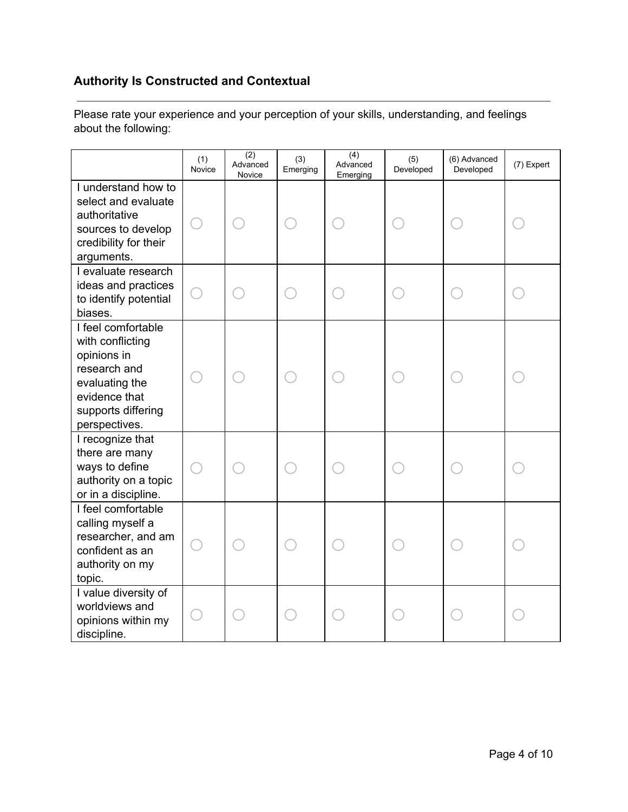# **Authority Is Constructed and Contextual**

|                                                                                                                                                 | (1)<br>Novice | (2)<br>Advanced<br>Novice | (3)<br>Emerging | $\overline{(4)}$<br>Advanced<br>Emerging | (5)<br>Developed | (6) Advanced<br>Developed | (7) Expert |
|-------------------------------------------------------------------------------------------------------------------------------------------------|---------------|---------------------------|-----------------|------------------------------------------|------------------|---------------------------|------------|
| I understand how to<br>select and evaluate<br>authoritative<br>sources to develop<br>credibility for their<br>arguments.                        |               |                           |                 |                                          |                  |                           |            |
| I evaluate research<br>ideas and practices<br>to identify potential<br>biases.                                                                  |               |                           |                 |                                          |                  |                           |            |
| I feel comfortable<br>with conflicting<br>opinions in<br>research and<br>evaluating the<br>evidence that<br>supports differing<br>perspectives. |               |                           |                 |                                          |                  |                           |            |
| I recognize that<br>there are many<br>ways to define<br>authority on a topic<br>or in a discipline.                                             |               |                           |                 |                                          |                  |                           |            |
| I feel comfortable<br>calling myself a<br>researcher, and am<br>confident as an<br>authority on my<br>topic.                                    |               |                           |                 |                                          |                  |                           |            |
| I value diversity of<br>worldviews and<br>opinions within my<br>discipline.                                                                     |               |                           |                 |                                          |                  |                           |            |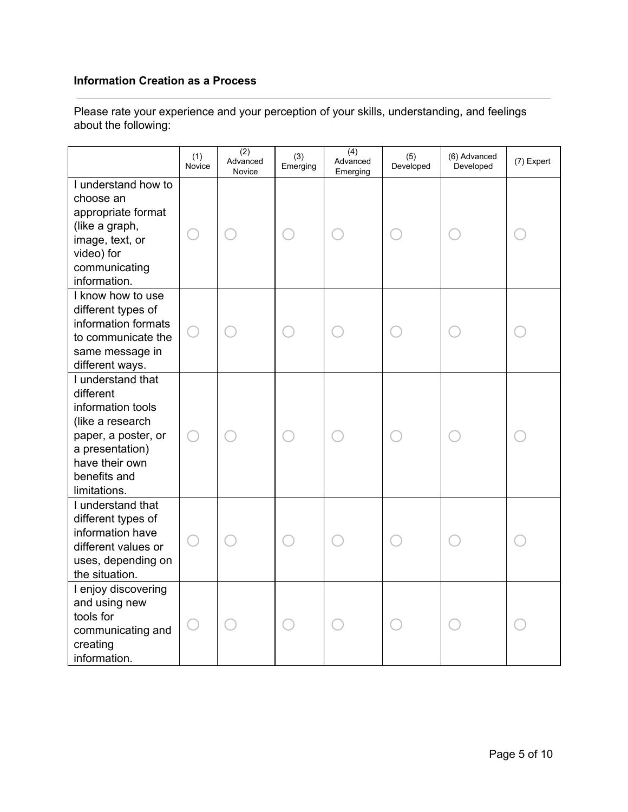### **Information Creation as a Process**

|                                                                                                                                                                     | (1)<br>Novice              | $\overline{(2)}$<br>Advanced<br>Novice | (3)<br>Emerging | $\overline{(4)}$<br>Advanced<br>Emerging | (5)<br>Developed | (6) Advanced<br>Developed | (7) Expert |
|---------------------------------------------------------------------------------------------------------------------------------------------------------------------|----------------------------|----------------------------------------|-----------------|------------------------------------------|------------------|---------------------------|------------|
| I understand how to<br>choose an<br>appropriate format<br>(like a graph,<br>image, text, or<br>video) for<br>communicating<br>information.                          |                            |                                        |                 |                                          |                  |                           |            |
| I know how to use<br>different types of<br>information formats<br>to communicate the<br>same message in<br>different ways.                                          |                            |                                        |                 |                                          |                  |                           |            |
| I understand that<br>different<br>information tools<br>(like a research<br>paper, a poster, or<br>a presentation)<br>have their own<br>benefits and<br>limitations. |                            |                                        |                 |                                          |                  |                           |            |
| I understand that<br>different types of<br>information have<br>different values or<br>uses, depending on<br>the situation.                                          |                            |                                        |                 |                                          |                  |                           |            |
| I enjoy discovering<br>and using new<br>tools for<br>communicating and<br>creating<br>information.                                                                  | $\overline{(\phantom{a})}$ |                                        |                 |                                          |                  |                           |            |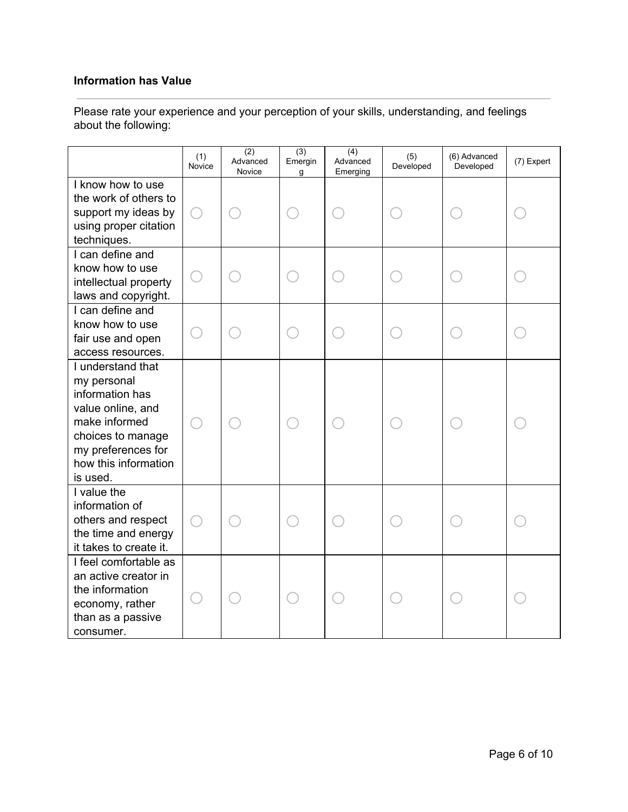#### **Information has Value**

|                                                                                                                                                                          | (1)<br>Novice | $\overline{(2)}$<br>Advanced<br>Novice | (3)<br>Emergin<br>g | $\overline{(4)}$<br>Advanced<br>Emerging | (5)<br>Developed | (6) Advanced<br>Developed | (7) Expert |
|--------------------------------------------------------------------------------------------------------------------------------------------------------------------------|---------------|----------------------------------------|---------------------|------------------------------------------|------------------|---------------------------|------------|
| I know how to use<br>the work of others to<br>support my ideas by<br>using proper citation<br>techniques.                                                                |               |                                        |                     |                                          |                  |                           |            |
| I can define and<br>know how to use<br>intellectual property<br>laws and copyright.                                                                                      |               |                                        |                     |                                          |                  |                           |            |
| I can define and<br>know how to use<br>fair use and open<br>access resources.                                                                                            |               |                                        |                     |                                          |                  |                           |            |
| I understand that<br>my personal<br>information has<br>value online, and<br>make informed<br>choices to manage<br>my preferences for<br>how this information<br>is used. |               |                                        |                     |                                          |                  |                           |            |
| I value the<br>information of<br>others and respect<br>the time and energy<br>it takes to create it.                                                                     |               |                                        |                     |                                          |                  |                           |            |
| I feel comfortable as<br>an active creator in<br>the information<br>economy, rather<br>than as a passive<br>consumer.                                                    |               |                                        |                     |                                          |                  |                           |            |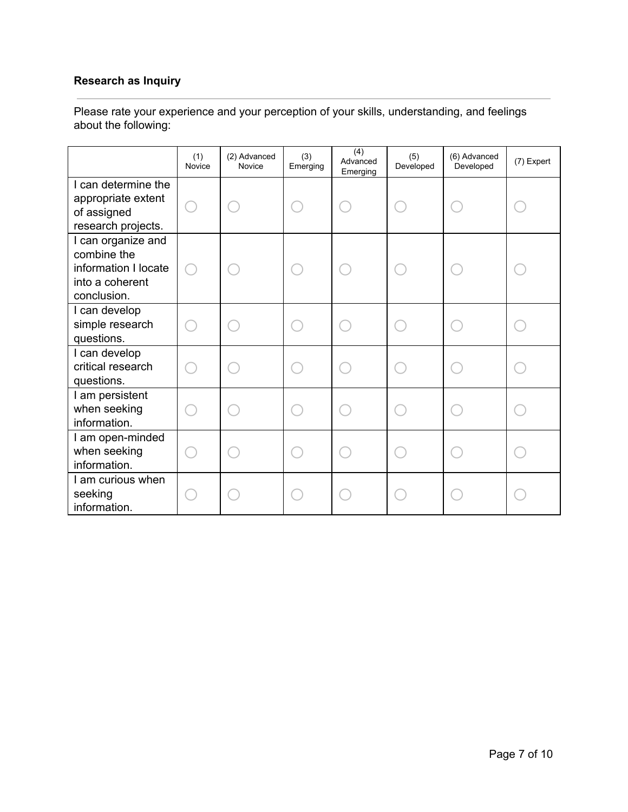# **Research as Inquiry**

|                                                                                             | (1)<br>Novice | (2) Advanced<br>Novice | (3)<br>Emerging | (4)<br>Advanced<br>Emerging | (5)<br>Developed | (6) Advanced<br>Developed | (7) Expert |
|---------------------------------------------------------------------------------------------|---------------|------------------------|-----------------|-----------------------------|------------------|---------------------------|------------|
| I can determine the<br>appropriate extent<br>of assigned<br>research projects.              |               |                        |                 |                             |                  |                           |            |
| I can organize and<br>combine the<br>information I locate<br>into a coherent<br>conclusion. |               |                        |                 |                             |                  |                           |            |
| I can develop<br>simple research<br>questions.                                              |               |                        |                 |                             |                  |                           |            |
| I can develop<br>critical research<br>questions.                                            |               |                        |                 |                             |                  |                           |            |
| I am persistent<br>when seeking<br>information.                                             |               |                        |                 |                             |                  |                           |            |
| I am open-minded<br>when seeking<br>information.                                            |               |                        |                 |                             |                  |                           |            |
| I am curious when<br>seeking<br>information.                                                |               |                        |                 |                             |                  |                           |            |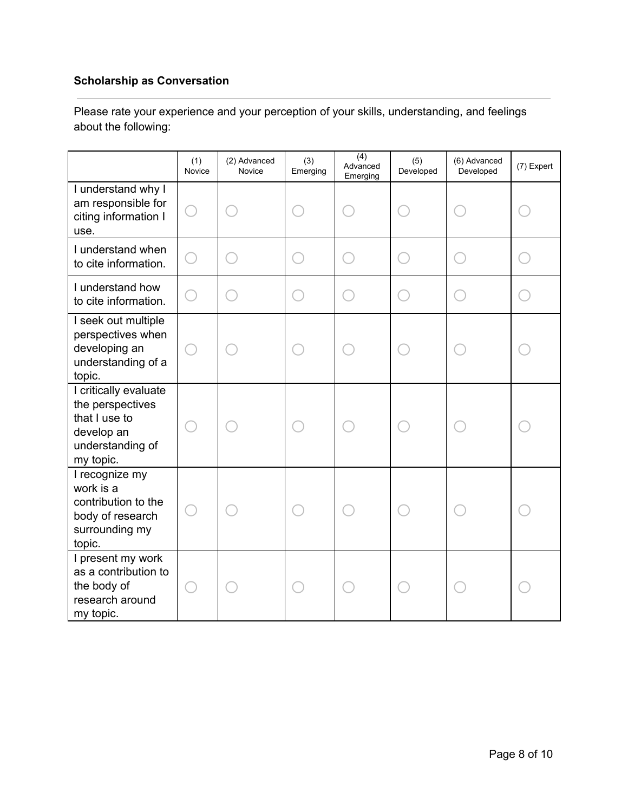# **Scholarship as Conversation**

|                                                                                                           | (1)<br>Novice | (2) Advanced<br>Novice | (3)<br>Emerging | $\overline{(4)}$<br>Advanced<br>Emerging | (5)<br>Developed | (6) Advanced<br>Developed | (7) Expert |
|-----------------------------------------------------------------------------------------------------------|---------------|------------------------|-----------------|------------------------------------------|------------------|---------------------------|------------|
| I understand why I<br>am responsible for<br>citing information I<br>use.                                  |               |                        |                 |                                          |                  |                           |            |
| I understand when<br>to cite information.                                                                 |               |                        |                 |                                          |                  |                           |            |
| I understand how<br>to cite information.                                                                  |               |                        |                 |                                          |                  |                           |            |
| I seek out multiple<br>perspectives when<br>developing an<br>understanding of a<br>topic.                 |               |                        |                 |                                          |                  |                           |            |
| I critically evaluate<br>the perspectives<br>that I use to<br>develop an<br>understanding of<br>my topic. |               |                        |                 |                                          |                  |                           |            |
| I recognize my<br>work is a<br>contribution to the<br>body of research<br>surrounding my<br>topic.        |               |                        |                 |                                          |                  |                           |            |
| I present my work<br>as a contribution to<br>the body of<br>research around<br>my topic.                  |               |                        |                 |                                          |                  |                           |            |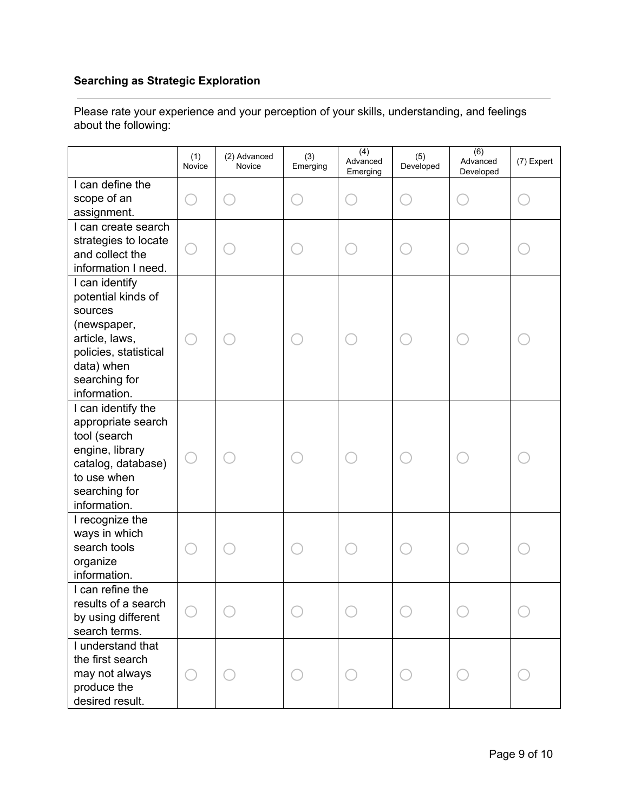# **Searching as Strategic Exploration**

|                                                                                                                                                          | (1)<br>Novice | (2) Advanced<br>Novice | (3)<br>Emerging | (4)<br>Advanced<br>Emerging | (5)<br>Developed | (6)<br>Advanced<br>Developed | (7) Expert |
|----------------------------------------------------------------------------------------------------------------------------------------------------------|---------------|------------------------|-----------------|-----------------------------|------------------|------------------------------|------------|
| I can define the<br>scope of an<br>assignment.                                                                                                           |               |                        |                 |                             |                  |                              |            |
| I can create search<br>strategies to locate<br>and collect the<br>information I need.                                                                    |               |                        |                 |                             |                  |                              |            |
| I can identify<br>potential kinds of<br>sources<br>(newspaper,<br>article, laws,<br>policies, statistical<br>data) when<br>searching for<br>information. |               |                        |                 |                             |                  |                              |            |
| I can identify the<br>appropriate search<br>tool (search<br>engine, library<br>catalog, database)<br>to use when<br>searching for<br>information.        |               |                        |                 |                             |                  |                              |            |
| I recognize the<br>ways in which<br>search tools<br>organize<br>information.                                                                             |               |                        |                 |                             |                  |                              |            |
| I can refine the<br>results of a search<br>by using different<br>search terms.                                                                           |               |                        |                 |                             |                  |                              |            |
| I understand that<br>the first search<br>may not always<br>produce the<br>desired result.                                                                |               |                        |                 |                             |                  |                              |            |